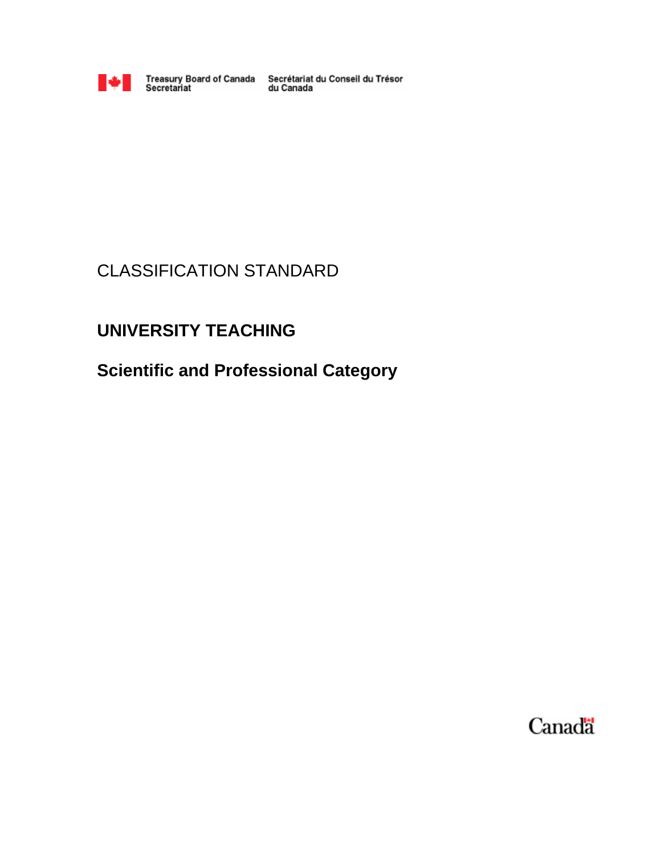

Treasury Board of Canada Secrétariat du Conseil du Trésor<br>du Canada

# CLASSIFICATION STANDARD

# **UNIVERSITY TEACHING**

**Scientific and Professional Category**

Canada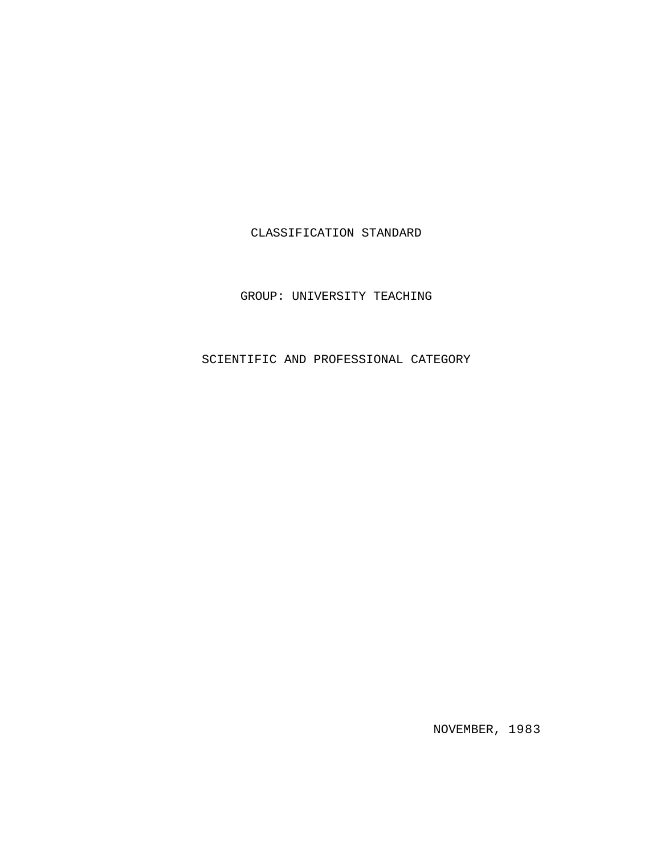# CLASSIFICATION STANDARD

GROUP: UNIVERSITY TEACHING

SCIENTIFIC AND PROFESSIONAL CATEGORY

NOVEMBER, 1983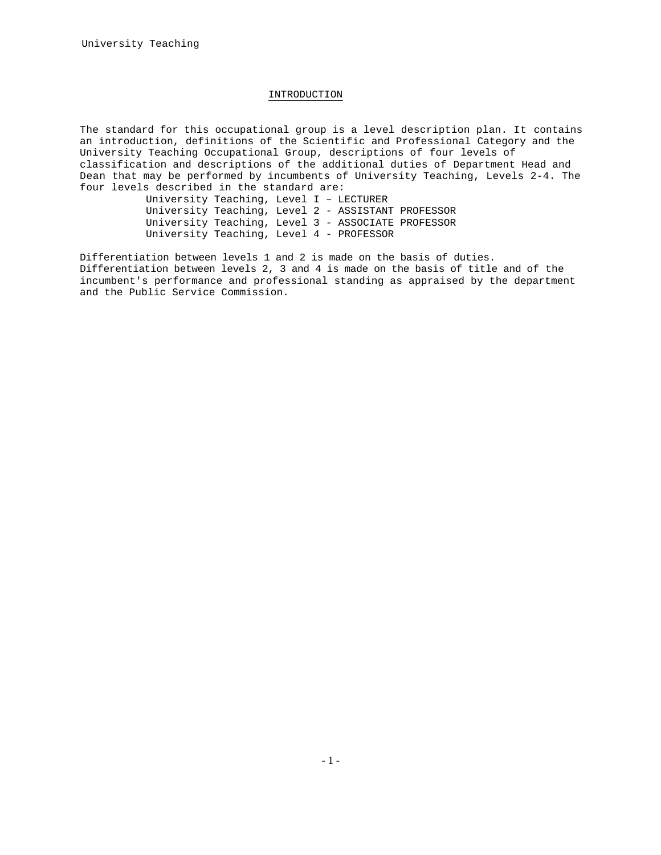## INTRODUCTION

The standard for this occupational group is a level description plan. It contains an introduction, definitions of the Scientific and Professional Category and the University Teaching Occupational Group, descriptions of four levels of classification and descriptions of the additional duties of Department Head and Dean that may be performed by incumbents of University Teaching, Levels 2-4. The four levels described in the standard are:

University Teaching, Level I – LECTURER University Teaching, Level 2 - ASSISTANT PROFESSOR University Teaching, Level 3 - ASSOCIATE PROFESSOR University Teaching, Level 4 - PROFESSOR

Differentiation between levels 1 and 2 is made on the basis of duties. Differentiation between levels 2, 3 and 4 is made on the basis of title and of the incumbent's performance and professional standing as appraised by the department and the Public Service Commission.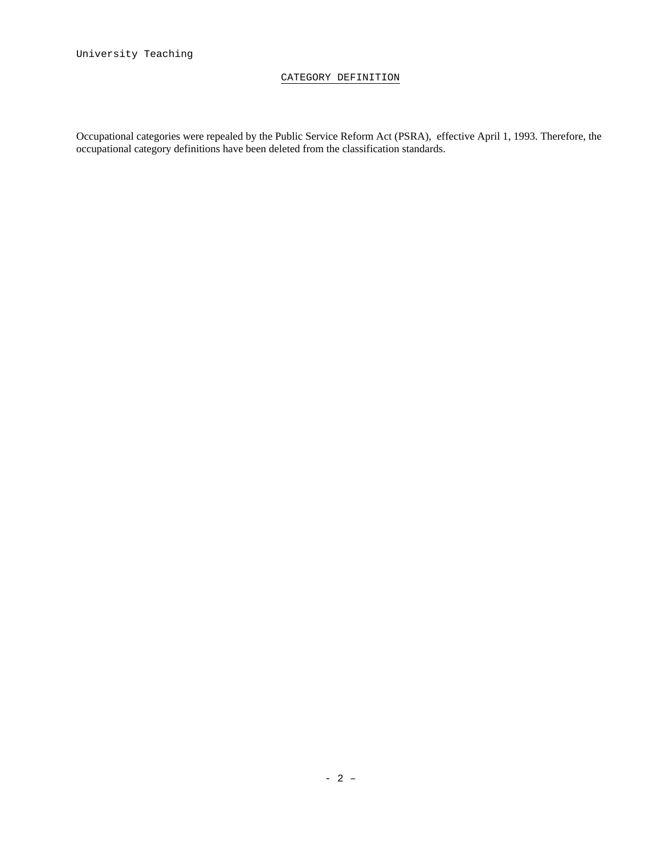# CATEGORY DEFINITION

Occupational categories were repealed by the Public Service Reform Act (PSRA), effective April 1, 1993. Therefore, the occupational category definitions have been deleted from the classification standards.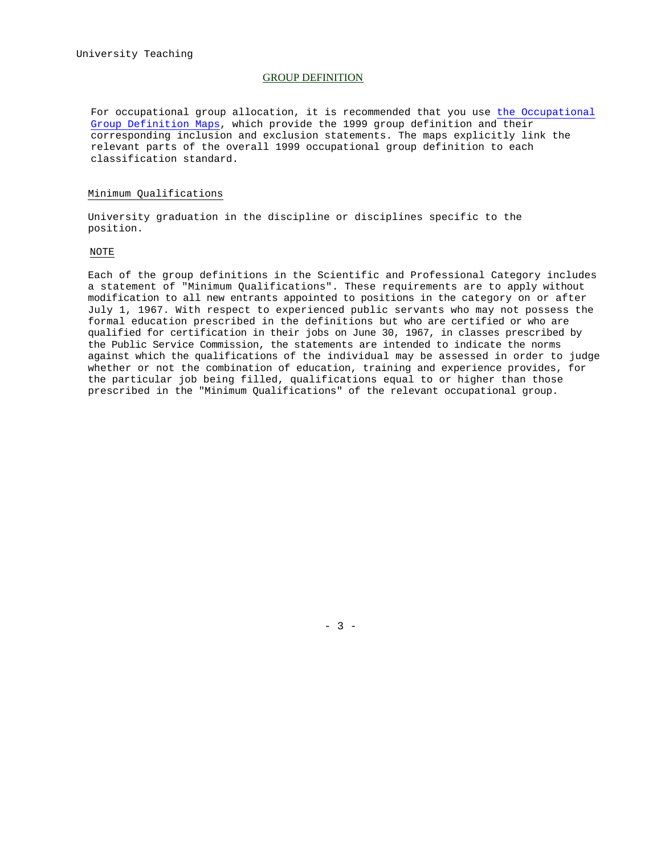## GROUP DEFINITION

For occupational group allocation, it is recommended that you use the Occupational Group Definition Maps, which provide the 1999 group definition and their corresponding inclusion and exclusion statements. The maps explicitly link the relevant parts of the overall 1999 occupational group definition to each classification standard.

### Minimum Qualifications

University graduation in the discipline or disciplines specific to the position.

#### NOTE

Each of the group definitions in the Scientific and Professional Category includes a statement of "Minimum Qualifications". These requirements are to apply without modification to all new entrants appointed to positions in the category on or after July 1, 1967. With respect to experienced public servants who may not possess the formal education prescribed in the definitions but who are certified or who are qualified for certification in their jobs on June 30, 1967, in classes prescribed by the Public Service Commission, the statements are intended to indicate the norms against which the qualifications of the individual may be assessed in order to judge whether or not the combination of education, training and experience provides, for the particular job being filled, qualifications equal to or higher than those prescribed in the "Minimum Qualifications" of the relevant occupational group.

 $- 3 -$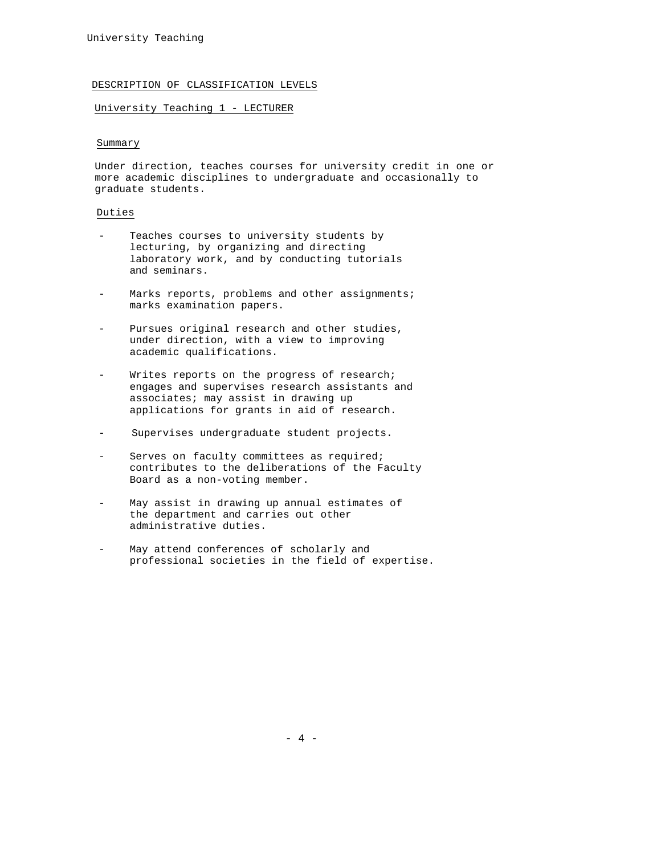## DESCRIPTION OF CLASSIFICATION LEVELS

### University Teaching 1 - LECTURER

## Summary

Under direction, teaches courses for university credit in one or more academic disciplines to undergraduate and occasionally to graduate students.

## Duties

- Teaches courses to university students by lecturing, by organizing and directing laboratory work, and by conducting tutorials and seminars.
- Marks reports, problems and other assignments; marks examination papers.
- Pursues original research and other studies, under direction, with a view to improving academic qualifications.
- Writes reports on the progress of research; engages and supervises research assistants and associates; may assist in drawing up applications for grants in aid of research.
- Supervises undergraduate student projects.
- Serves on faculty committees as required; contributes to the deliberations of the Faculty Board as a non-voting member.
- May assist in drawing up annual estimates of the department and carries out other administrative duties.
- May attend conferences of scholarly and professional societies in the field of expertise.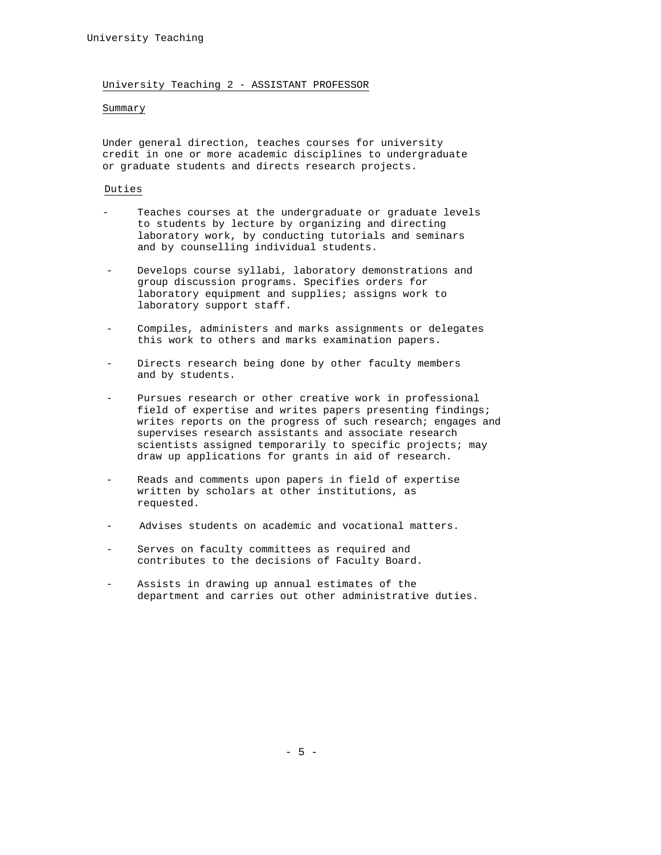### University Teaching 2 - ASSISTANT PROFESSOR

## Summary

Under general direction, teaches courses for university credit in one or more academic disciplines to undergraduate or graduate students and directs research projects.

#### Duties

- Teaches courses at the undergraduate or graduate levels to students by lecture by organizing and directing laboratory work, by conducting tutorials and seminars and by counselling individual students.
- Develops course syllabi, laboratory demonstrations and group discussion programs. Specifies orders for laboratory equipment and supplies; assigns work to laboratory support staff.
- Compiles, administers and marks assignments or delegates this work to others and marks examination papers.
- Directs research being done by other faculty members and by students.
- Pursues research or other creative work in professional field of expertise and writes papers presenting findings; writes reports on the progress of such research; engages and supervises research assistants and associate research scientists assigned temporarily to specific projects; may draw up applications for grants in aid of research.
- Reads and comments upon papers in field of expertise written by scholars at other institutions, as requested.
- Advises students on academic and vocational matters.
- Serves on faculty committees as required and contributes to the decisions of Faculty Board.
- Assists in drawing up annual estimates of the department and carries out other administrative duties.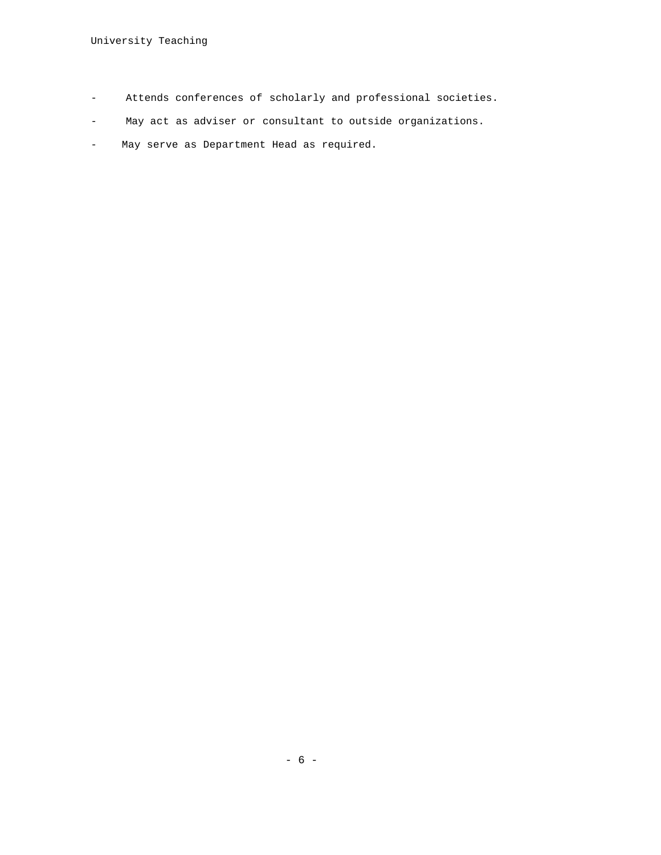- Attends conferences of scholarly and professional societies.
- May act as adviser or consultant to outside organizations.
- May serve as Department Head as required.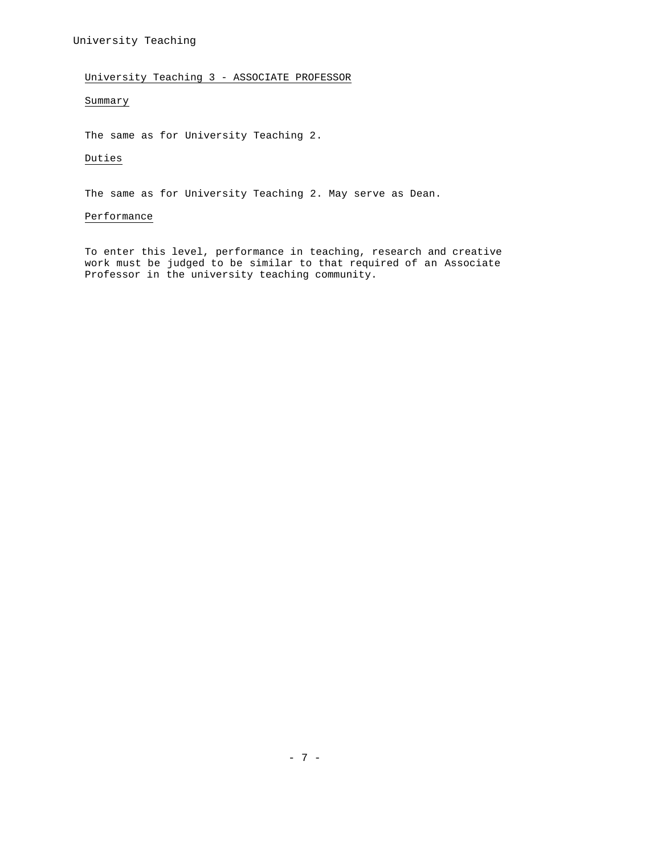# University Teaching 3 - ASSOCIATE PROFESSOR

# Summary

The same as for University Teaching 2.

## Duties

The same as for University Teaching 2. May serve as Dean.

## Performance

To enter this level, performance in teaching, research and creative work must be judged to be similar to that required of an Associate Professor in the university teaching community.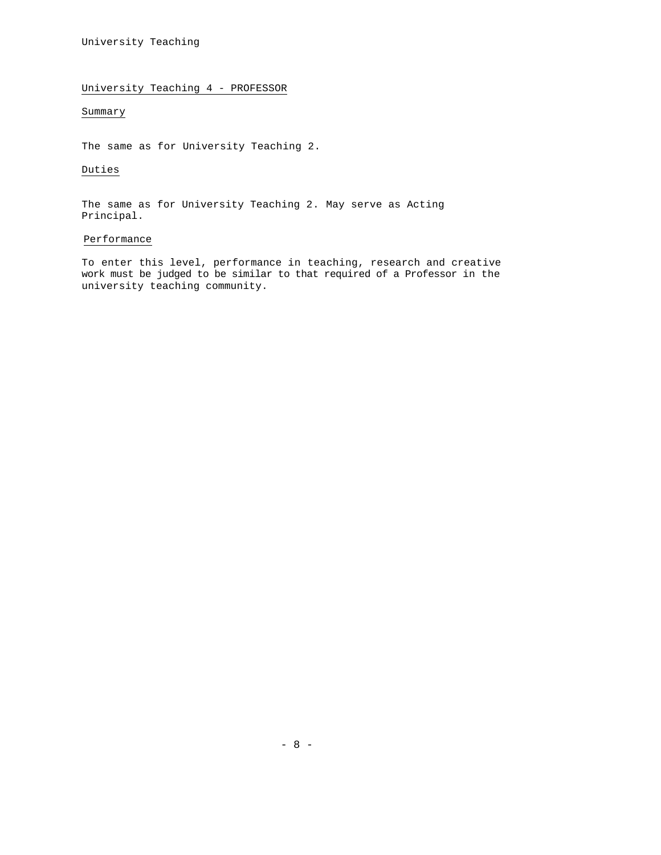# University Teaching 4 - PROFESSOR

# Summary

The same as for University Teaching 2.

## Duties

The same as for University Teaching 2. May serve as Acting Principal.

## Performance

To enter this level, performance in teaching, research and creative work must be judged to be similar to that required of a Professor in the university teaching community.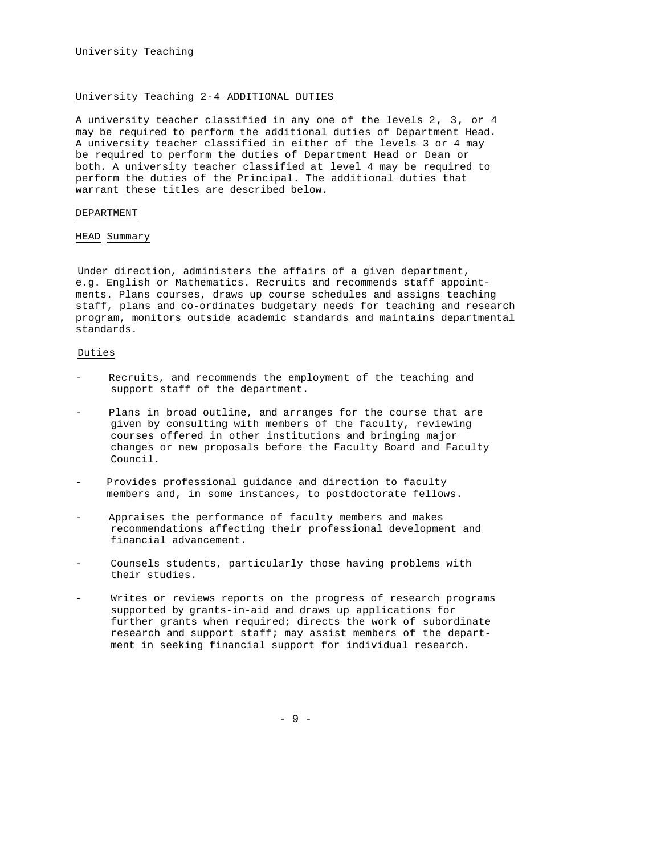## University Teaching 2-4 ADDITIONAL DUTIES

A university teacher classified in any one of the levels 2, 3, or 4 may be required to perform the additional duties of Department Head. A university teacher classified in either of the levels 3 or 4 may be required to perform the duties of Department Head or Dean or both. A university teacher classified at level 4 may be required to perform the duties of the Principal. The additional duties that warrant these titles are described below.

## DEPARTMENT

## HEAD Summary

Under direction, administers the affairs of a given department, e.g. English or Mathematics. Recruits and recommends staff appointments. Plans courses, draws up course schedules and assigns teaching staff, plans and co-ordinates budgetary needs for teaching and research program, monitors outside academic standards and maintains departmental standards.

## Duties

- Recruits, and recommends the employment of the teaching and support staff of the department.
- Plans in broad outline, and arranges for the course that are given by consulting with members of the faculty, reviewing courses offered in other institutions and bringing major changes or new proposals before the Faculty Board and Faculty Council.
- Provides professional guidance and direction to faculty members and, in some instances, to postdoctorate fellows.
- Appraises the performance of faculty members and makes recommendations affecting their professional development and financial advancement.
- Counsels students, particularly those having problems with their studies.
- Writes or reviews reports on the progress of research programs supported by grants-in-aid and draws up applications for further grants when required; directs the work of subordinate research and support staff; may assist members of the department in seeking financial support for individual research.

- 9 -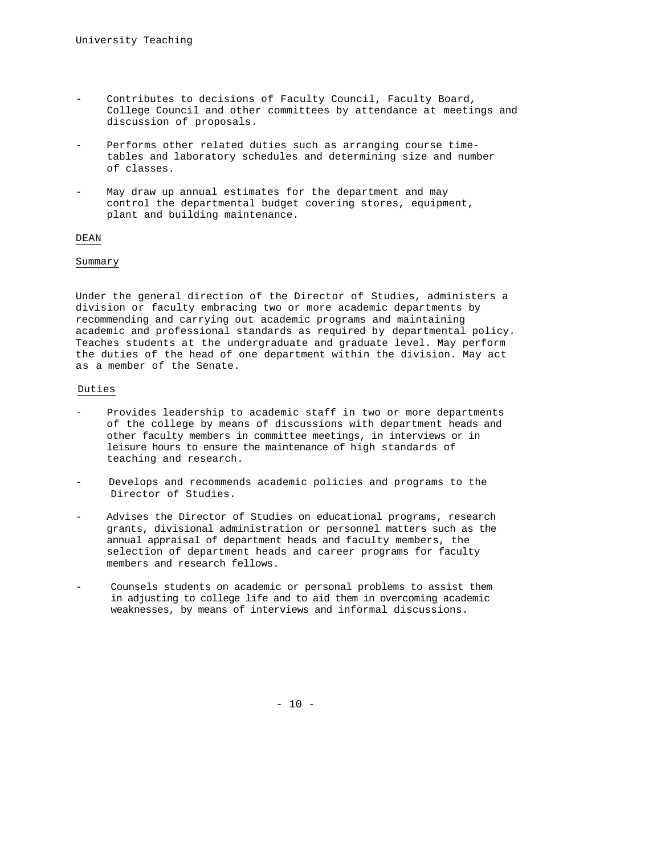- Contributes to decisions of Faculty Council, Faculty Board, College Council and other committees by attendance at meetings and discussion of proposals.
- Performs other related duties such as arranging course timetables and laboratory schedules and determining size and number of classes.
- May draw up annual estimates for the department and may control the departmental budget covering stores, equipment, plant and building maintenance.

## DEAN

## Summary

Under the general direction of the Director of Studies, administers a division or faculty embracing two or more academic departments by recommending and carrying out academic programs and maintaining academic and professional standards as required by departmental policy. Teaches students at the undergraduate and graduate level. May perform the duties of the head of one department within the division. May act as a member of the Senate.

## Duties

- Provides leadership to academic staff in two or more departments of the college by means of discussions with department heads and other faculty members in committee meetings, in interviews or in leisure hours to ensure the maintenance of high standards of teaching and research.
- Develops and recommends academic policies and programs to the Director of Studies.
- Advises the Director of Studies on educational programs, research grants, divisional administration or personnel matters such as the annual appraisal of department heads and faculty members, the selection of department heads and career programs for faculty members and research fellows.
- Counsels students on academic or personal problems to assist them in adjusting to college life and to aid them in overcoming academic weaknesses, by means of interviews and informal discussions.